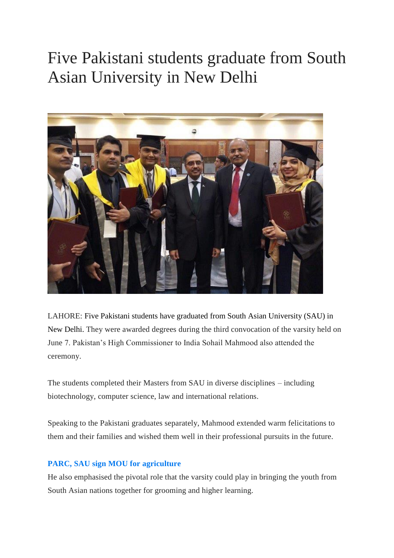## Five [Pakistani](https://tribune.com.pk/story/1734389/1-five-pakistani-students-graduate-south-asian-university-new-delhi/) students graduate from South Asian [University](https://tribune.com.pk/story/1734389/1-five-pakistani-students-graduate-south-asian-university-new-delhi/) in New Delhi



LAHORE: Five Pakistani students have graduated from South Asian University (SAU) in New Delhi. They were awarded degrees during the third convocation of the varsity held on June 7. Pakistan's High Commissioner to India Sohail Mahmood also attended the ceremony.

The students completed their Masters from SAU in diverse disciplines – including biotechnology, computer science, law and international relations.

Speaking to the Pakistani graduates separately, Mahmood extended warm felicitations to them and their families and wished them well in their professional pursuits in the future.

## **PARC, SAU sign MOU for [agriculture](https://tribune.com.pk/story/1711881/2-parc-sau-sign-mou-agriculture/)**

He also emphasised the pivotal role that the varsity could play in bringing the youth from South Asian nations together for grooming and higher learning.